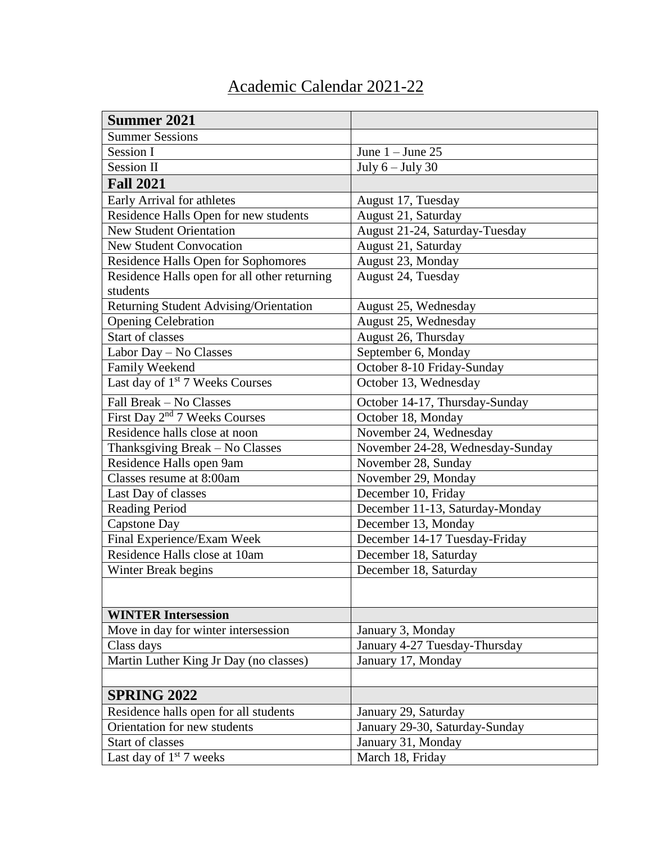## Academic Calendar 2021-22

| <b>Summer 2021</b>                           |                                  |
|----------------------------------------------|----------------------------------|
| <b>Summer Sessions</b>                       |                                  |
| Session I                                    | June $1 -$ June 25               |
| <b>Session II</b>                            | July $6 -$ July $30$             |
| <b>Fall 2021</b>                             |                                  |
| Early Arrival for athletes                   | August 17, Tuesday               |
| Residence Halls Open for new students        | August 21, Saturday              |
| <b>New Student Orientation</b>               | August 21-24, Saturday-Tuesday   |
| <b>New Student Convocation</b>               | August 21, Saturday              |
| Residence Halls Open for Sophomores          | August 23, Monday                |
| Residence Halls open for all other returning | August 24, Tuesday               |
| students                                     |                                  |
| Returning Student Advising/Orientation       | August 25, Wednesday             |
| <b>Opening Celebration</b>                   | August 25, Wednesday             |
| <b>Start of classes</b>                      | August 26, Thursday              |
| Labor Day - No Classes                       | September 6, Monday              |
| Family Weekend                               | October 8-10 Friday-Sunday       |
| Last day of 1 <sup>st</sup> 7 Weeks Courses  | October 13, Wednesday            |
| Fall Break - No Classes                      | October 14-17, Thursday-Sunday   |
| First Day 2 <sup>nd</sup> 7 Weeks Courses    | October 18, Monday               |
| Residence halls close at noon                | November 24, Wednesday           |
| Thanksgiving Break - No Classes              | November 24-28, Wednesday-Sunday |
| Residence Halls open 9am                     | November 28, Sunday              |
| Classes resume at 8:00am                     | November 29, Monday              |
| Last Day of classes                          | December 10, Friday              |
| <b>Reading Period</b>                        | December 11-13, Saturday-Monday  |
| <b>Capstone Day</b>                          | December 13, Monday              |
| Final Experience/Exam Week                   | December 14-17 Tuesday-Friday    |
| Residence Halls close at 10am                | December 18, Saturday            |
| Winter Break begins                          | December 18, Saturday            |
|                                              |                                  |
| <b>WINTER Intersession</b>                   |                                  |
| Move in day for winter intersession          | January 3, Monday                |
| Class days                                   | January 4-27 Tuesday-Thursday    |
| Martin Luther King Jr Day (no classes)       | January 17, Monday               |
|                                              |                                  |
| <b>SPRING 2022</b>                           |                                  |
| Residence halls open for all students        | January 29, Saturday             |
| Orientation for new students                 | January 29-30, Saturday-Sunday   |
| Start of classes                             | January 31, Monday               |
| Last day of $1st$ 7 weeks                    | March 18, Friday                 |